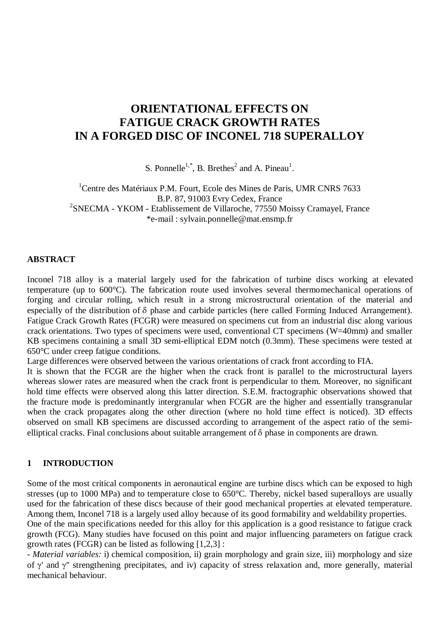# **ORIENTATIONAL EFFECTS ON FATIGUE CRACK GROWTH RATES IN A FORGED DISC OF INCONEL 718 SUPERALLOY**

S. Ponnelle<sup>1,\*</sup>, B. Brethes<sup>2</sup> and A. Pineau<sup>1</sup>.

<sup>1</sup>Centre des Matériaux P.M. Fourt, Ecole des Mines de Paris, UMR CNRS 7633 B.P. 87, 91003 Evry Cedex, France <sup>2</sup>SNECMA - YKOM - Etablissement de Villaroche, 77550 Moissy Cramayel, France \*e-mail : sylvain.ponnelle@mat.ensmp.fr

### **ABSTRACT**

Inconel 718 alloy is a material largely used for the fabrication of turbine discs working at elevated temperature (up to 600°C). The fabrication route used involves several thermomechanical operations of forging and circular rolling, which result in a strong microstructural orientation of the material and especially of the distribution of  $\delta$  phase and carbide particles (here called Forming Induced Arrangement). Fatigue Crack Growth Rates (FCGR) were measured on specimens cut from an industrial disc along various crack orientations. Two types of specimens were used, conventional CT specimens (W=40mm) and smaller KB specimens containing a small 3D semi-elliptical EDM notch (0.3mm). These specimens were tested at 650°C under creep fatigue conditions.

Large differences were observed between the various orientations of crack front according to FIA.

It is shown that the FCGR are the higher when the crack front is parallel to the microstructural layers whereas slower rates are measured when the crack front is perpendicular to them. Moreover, no significant hold time effects were observed along this latter direction. S.E.M. fractographic observations showed that the fracture mode is predominantly intergranular when FCGR are the higher and essentially transgranular when the crack propagates along the other direction (where no hold time effect is noticed). 3D effects observed on small KB specimens are discussed according to arrangement of the aspect ratio of the semielliptical cracks. Final conclusions about suitable arrangement of  $\delta$  phase in components are drawn.

### **1 INTRODUCTION**

Some of the most critical components in aeronautical engine are turbine discs which can be exposed to high stresses (up to 1000 MPa) and to temperature close to 650°C. Thereby, nickel based superalloys are usually used for the fabrication of these discs because of their good mechanical properties at elevated temperature. Among them, Inconel 718 is a largely used alloy because of its good formability and weldability properties. One of the main specifications needed for this alloy for this application is a good resistance to fatigue crack

growth (FCG). Many studies have focused on this point and major influencing parameters on fatigue crack growth rates (FCGR) can be listed as following [1,2,3] :

*- Material variables:* i) chemical composition, ii) grain morphology and grain size, iii) morphology and size of  $\gamma'$  and  $\gamma''$  strengthening precipitates, and iv) capacity of stress relaxation and, more generally, material mechanical behaviour.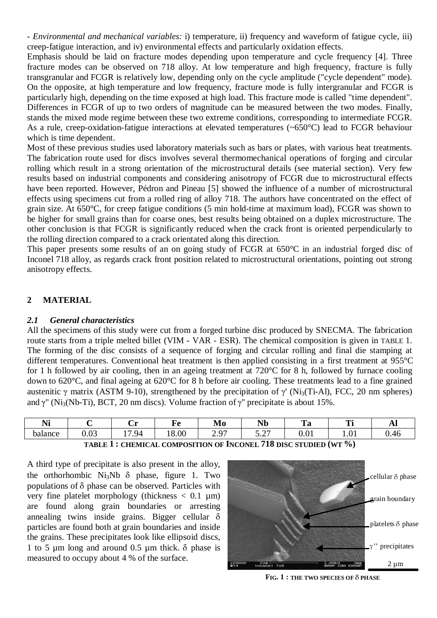*- Environmental and mechanical variables:* i) temperature, ii) frequency and waveform of fatigue cycle, iii) creep-fatigue interaction, and iv) environmental effects and particularly oxidation effects.

Emphasis should be laid on fracture modes depending upon temperature and cycle frequency [4]. Three fracture modes can be observed on 718 alloy. At low temperature and high frequency, fracture is fully transgranular and FCGR is relatively low, depending only on the cycle amplitude ("cycle dependent" mode). On the opposite, at high temperature and low frequency, fracture mode is fully intergranular and FCGR is particularly high, depending on the time exposed at high load. This fracture mode is called "time dependent". Differences in FCGR of up to two orders of magnitude can be measured between the two modes. Finally, stands the mixed mode regime between these two extreme conditions, corresponding to intermediate FCGR. As a rule, creep-oxidation-fatigue interactions at elevated temperatures (~650°C) lead to FCGR behaviour which is time dependent.

Most of these previous studies used laboratory materials such as bars or plates, with various heat treatments. The fabrication route used for discs involves several thermomechanical operations of forging and circular rolling which result in a strong orientation of the microstructural details (see material section). Very few results based on industrial components and considering anisotropy of FCGR due to microstructural effects have been reported. However, Pédron and Pineau [5] showed the influence of a number of microstructural effects using specimens cut from a rolled ring of alloy 718. The authors have concentrated on the effect of grain size. At 650°C, for creep fatigue conditions (5 min hold-time at maximum load), FCGR was shown to be higher for small grains than for coarse ones, best results being obtained on a duplex microstructure. The other conclusion is that FCGR is significantly reduced when the crack front is oriented perpendicularly to the rolling direction compared to a crack orientated along this direction.

This paper presents some results of an on going study of FCGR at 650°C in an industrial forged disc of Inconel 718 alloy, as regards crack front position related to microstructural orientations, pointing out strong anisotropy effects.

# **2 MATERIAL**

# *2.1 General characteristics*

All the specimens of this study were cut from a forged turbine disc produced by SNECMA. The fabrication route starts from a triple melted billet (VIM - VAR - ESR). The chemical composition is given in TABLE 1. The forming of the disc consists of a sequence of forging and circular rolling and final die stamping at different temperatures. Conventional heat treatment is then applied consisting in a first treatment at 955°C for 1 h followed by air cooling, then in an ageing treatment at 720°C for 8 h, followed by furnace cooling down to 620°C, and final ageing at 620°C for 8 h before air cooling. These treatments lead to a fine grained austenitic  $\gamma$  matrix (ASTM 9-10), strengthened by the precipitation of  $\gamma'$  (Ni<sub>3</sub>(Ti-Al), FCC, 20 nm spheres) and  $y''$  (Ni<sub>3</sub>(Nb-Ti), BCT, 20 nm discs). Volume fraction of  $y''$  precipitate is about 15%.

| $\mathbf{v}$<br>Nı | -                          | $\tilde{\phantom{a}}$<br>۰.<br>◡▴ | -     | $\mathbf{r}$<br>M0        | .<br><b>TAN</b>                           | m<br>c<br>ı u      | m<br>--          | TА             |
|--------------------|----------------------------|-----------------------------------|-------|---------------------------|-------------------------------------------|--------------------|------------------|----------------|
| balance            | $\Omega$<br>$\sim$<br>U.UJ | 94<br>$\overline{ }$              | 18.00 | $\sim$<br>-<br><u>_ ,</u> | $\overline{\phantom{a}}$<br>$\sim$<br>◡.↩ | $\Omega$ 1<br>v.vi | $\Omega$<br>1.VI | $\sim$<br>V.40 |
|                    |                            |                                   |       |                           | $-1$                                      |                    | $\sim$ $\sim$    |                |

**TABLE 1 : CHEMICAL COMPOSITION OF INCONEL 718 DISC STUDIED (WT %)**

A third type of precipitate is also present in the alloy, the orthorhombic  $Ni<sub>3</sub>Nb$   $\delta$  phase, figure 1. Two populations of  $\delta$  phase can be observed. Particles with very fine platelet morphology (thickness  $< 0.1$  um) are found along grain boundaries or arresting annealing twins inside grains. Bigger cellular  $\delta$ particles are found both at grain boundaries and inside the grains. These precipitates look like ellipsoid discs, 1 to 5  $\mu$ m long and around 0.5  $\mu$ m thick.  $\delta$  phase is measured to occupy about 4 % of the surface.



**FIG. 1 : THE TWO SPECIES OF** G **PHASE**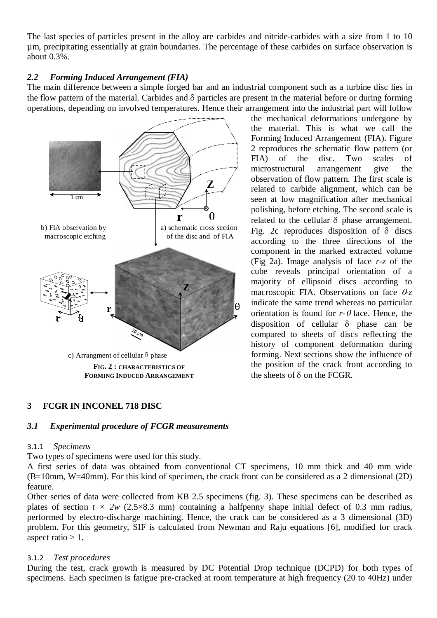The last species of particles present in the alloy are carbides and nitride-carbides with a size from 1 to 10 µm, precipitating essentially at grain boundaries. The percentage of these carbides on surface observation is about 0.3%.

## *2.2 Forming Induced Arrangement (FIA)*

The main difference between a simple forged bar and an industrial component such as a turbine disc lies in the flow pattern of the material. Carbides and  $\delta$  particles are present in the material before or during forming operations, depending on involved temperatures. Hence their arrangement into the industrial part will follow



the mechanical deformations undergone by the material. This is what we call the Forming Induced Arrangement (FIA). Figure 2 reproduces the schematic flow pattern (or FIA) of the disc. Two scales of microstructural arrangement give the observation of flow pattern. The first scale is related to carbide alignment, which can be seen at low magnification after mechanical polishing, before etching. The second scale is related to the cellular  $\delta$  phase arrangement. Fig. 2c reproduces disposition of  $\delta$  discs according to the three directions of the component in the marked extracted volume (Fig 2a). Image analysis of face *r-z* of the cube reveals principal orientation of a majority of ellipsoid discs according to macroscopic FIA. Observations on face  $\theta$ -*z* indicate the same trend whereas no particular orientation is found for  $r-\theta$  face. Hence, the disposition of cellular  $\delta$  phase can be compared to sheets of discs reflecting the history of component deformation during forming. Next sections show the influence of the position of the crack front according to the sheets of  $\delta$  on the FCGR.

# **3 FCGR IN INCONEL 718 DISC**

### *3.1 Experimental procedure of FCGR measurements*

### *3.1.1 Specimens*

Two types of specimens were used for this study.

A first series of data was obtained from conventional CT specimens, 10 mm thick and 40 mm wide (B=10mm, W=40mm). For this kind of specimen, the crack front can be considered as a 2 dimensional (2D) feature.

Other series of data were collected from KB 2.5 specimens (fig. 3). These specimens can be described as plates of section  $t \times 2w$  (2.5×8.3 mm) containing a halfpenny shape initial defect of 0.3 mm radius, performed by electro-discharge machining. Hence, the crack can be considered as a 3 dimensional (3D) problem. For this geometry, SIF is calculated from Newman and Raju equations [6], modified for crack aspect ratio  $> 1$ .

### *3.1.2 Test procedures*

During the test, crack growth is measured by DC Potential Drop technique (DCPD) for both types of specimens. Each specimen is fatigue pre-cracked at room temperature at high frequency (20 to 40Hz) under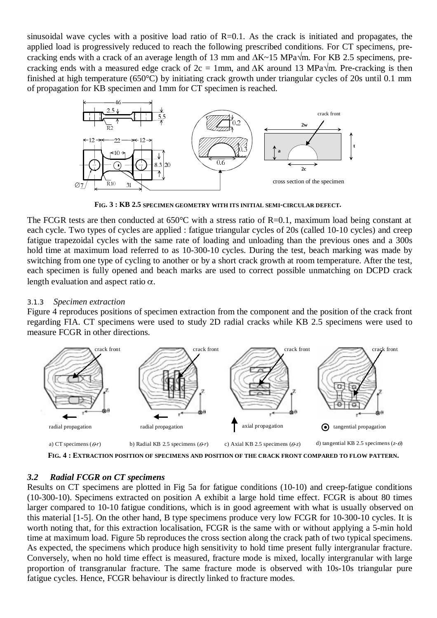sinusoidal wave cycles with a positive load ratio of  $R=0.1$ . As the crack is initiated and propagates, the applied load is progressively reduced to reach the following prescribed conditions. For CT specimens, precracking ends with a crack of an average length of 13 mm and  $\Delta K \sim 15$  MPa $\sqrt{m}$ . For KB 2.5 specimens, precracking ends with a measured edge crack of  $2c = 1$ mm, and  $\Delta K$  around 13 MPa $\sqrt{m}$ . Pre-cracking is then finished at high temperature (650°C) by initiating crack growth under triangular cycles of 20s until 0.1 mm of propagation for KB specimen and 1mm for CT specimen is reached.



**FIG. 3 : KB 2.5 SPECIMEN GEOMETRY WITH ITS INITIAL SEMI-CIRCULAR DEFECT.**

The FCGR tests are then conducted at 650°C with a stress ratio of R=0.1, maximum load being constant at each cycle. Two types of cycles are applied : fatigue triangular cycles of 20s (called 10-10 cycles) and creep fatigue trapezoidal cycles with the same rate of loading and unloading than the previous ones and a 300s hold time at maximum load referred to as 10-300-10 cycles. During the test, beach marking was made by switching from one type of cycling to another or by a short crack growth at room temperature. After the test, each specimen is fully opened and beach marks are used to correct possible unmatching on DCPD crack length evaluation and aspect ratio  $\alpha$ .

### *3.1.3 Specimen extraction*

Figure 4 reproduces positions of specimen extraction from the component and the position of the crack front regarding FIA. CT specimens were used to study 2D radial cracks while KB 2.5 specimens were used to measure FCGR in other directions.



**FIG. 4 : EXTRACTION POSITION OF SPECIMENS AND POSITION OF THE CRACK FRONT COMPARED TO FLOW PATTERN.**

### *3.2 Radial FCGR on CT specimens*

Results on CT specimens are plotted in Fig 5a for fatigue conditions (10-10) and creep-fatigue conditions (10-300-10). Specimens extracted on position A exhibit a large hold time effect. FCGR is about 80 times larger compared to 10-10 fatigue conditions, which is in good agreement with what is usually observed on this material [1-5]. On the other hand, B type specimens produce very low FCGR for 10-300-10 cycles. It is worth noting that, for this extraction localisation, FCGR is the same with or without applying a 5-min hold time at maximum load. Figure 5b reproduces the cross section along the crack path of two typical specimens. As expected, the specimens which produce high sensitivity to hold time present fully intergranular fracture. Conversely, when no hold time effect is measured, fracture mode is mixed, locally intergranular with large proportion of transgranular fracture. The same fracture mode is observed with 10s-10s triangular pure fatigue cycles. Hence, FCGR behaviour is directly linked to fracture modes.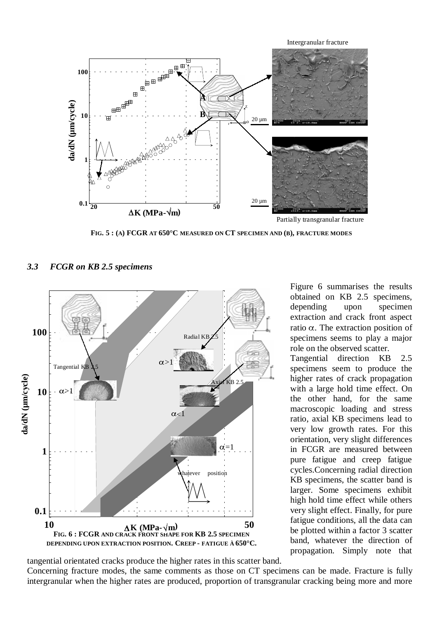

**FIG. 5 : (A) FCGR AT 650°C MEASURED ON CT SPECIMEN AND (B), FRACTURE MODES**



#### *3.3 FCGR on KB 2.5 specimens*

Figure 6 summarises the results obtained on KB 2.5 specimens, depending upon specimen extraction and crack front aspect ratio  $\alpha$ . The extraction position of specimens seems to play a major role on the observed scatter.

Tangential direction KB 2.5 specimens seem to produce the higher rates of crack propagation with a large hold time effect. On the other hand, for the same macroscopic loading and stress ratio, axial KB specimens lead to very low growth rates. For this orientation, very slight differences in FCGR are measured between pure fatigue and creep fatigue cycles.Concerning radial direction KB specimens, the scatter band is larger. Some specimens exhibit high hold time effect while others very slight effect. Finally, for pure fatigue conditions, all the data can be plotted within a factor 3 scatter band, whatever the direction of propagation. Simply note that

tangential orientated cracks produce the higher rates in this scatter band.

Concerning fracture modes, the same comments as those on CT specimens can be made. Fracture is fully intergranular when the higher rates are produced, proportion of transgranular cracking being more and more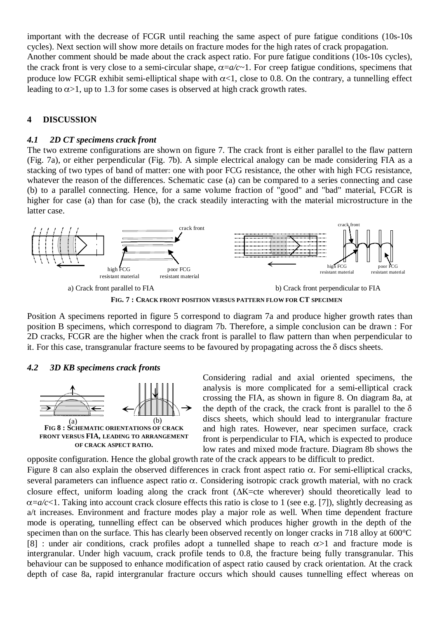important with the decrease of FCGR until reaching the same aspect of pure fatigue conditions (10s-10s cycles). Next section will show more details on fracture modes for the high rates of crack propagation. Another comment should be made about the crack aspect ratio. For pure fatigue conditions (10s-10s cycles), the crack front is very close to a semi-circular shape,  $\alpha = a/c \sim 1$ . For creep fatigue conditions, specimens that produce low FCGR exhibit semi-elliptical shape with  $\alpha$ <1, close to 0.8. On the contrary, a tunnelling effect leading to  $\alpha > 1$ , up to 1.3 for some cases is observed at high crack growth rates.

# **4 DISCUSSION**

### *4.1 2D CT specimens crack front*

The two extreme configurations are shown on figure 7. The crack front is either parallel to the flaw pattern (Fig. 7a), or either perpendicular (Fig. 7b). A simple electrical analogy can be made considering FIA as a stacking of two types of band of matter: one with poor FCG resistance, the other with high FCG resistance, whatever the reason of the differences. Schematic case (a) can be compared to a series connecting and case (b) to a parallel connecting. Hence, for a same volume fraction of "good" and "bad" material, FCGR is higher for case (a) than for case (b), the crack steadily interacting with the material microstructure in the latter case.



Position A specimens reported in figure 5 correspond to diagram 7a and produce higher growth rates than position B specimens, which correspond to diagram 7b. Therefore, a simple conclusion can be drawn : For 2D cracks, FCGR are the higher when the crack front is parallel to flaw pattern than when perpendicular to it. For this case, transgranular fracture seems to be favoured by propagating across the  $\delta$  discs sheets.

#### *4.2 3D KB specimens crack fronts*



Considering radial and axial oriented specimens, the analysis is more complicated for a semi-elliptical crack crossing the FIA, as shown in figure 8. On diagram 8a, at the depth of the crack, the crack front is parallel to the  $\delta$ discs sheets, which should lead to intergranular fracture and high rates. However, near specimen surface, crack front is perpendicular to FIA, which is expected to produce low rates and mixed mode fracture. Diagram 8b shows the opposite configuration. Hence the global growth rate of the crack appears to be difficult to predict.

Figure 8 can also explain the observed differences in crack front aspect ratio  $\alpha$ . For semi-elliptical cracks, several parameters can influence aspect ratio  $\alpha$ . Considering isotropic crack growth material, with no crack closure effect, uniform loading along the crack front  $(\Delta K = cte$  wherever) should theoretically lead to  $\alpha = a/c < 1$ . Taking into account crack closure effects this ratio is close to 1 (see e.g. [7]), slightly decreasing as a/t increases. Environment and fracture modes play a major role as well. When time dependent fracture mode is operating, tunnelling effect can be observed which produces higher growth in the depth of the specimen than on the surface. This has clearly been observed recently on longer cracks in 718 alloy at 600°C [8] : under air conditions, crack profiles adopt a tunnelled shape to reach  $\alpha > 1$  and fracture mode is intergranular. Under high vacuum, crack profile tends to 0.8, the fracture being fully transgranular. This behaviour can be supposed to enhance modification of aspect ratio caused by crack orientation. At the crack depth of case 8a, rapid intergranular fracture occurs which should causes tunnelling effect whereas on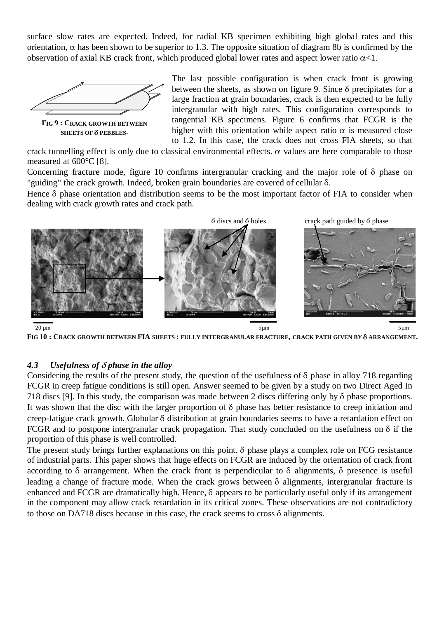surface slow rates are expected. Indeed, for radial KB specimen exhibiting high global rates and this orientation,  $\alpha$  has been shown to be superior to 1.3. The opposite situation of diagram 8b is confirmed by the observation of axial KB crack front, which produced global lower rates and aspect lower ratio  $\alpha$ <1.



The last possible configuration is when crack front is growing between the sheets, as shown on figure 9. Since  $\delta$  precipitates for a large fraction at grain boundaries, crack is then expected to be fully intergranular with high rates. This configuration corresponds to tangential KB specimens. Figure 6 confirms that FCGR is the higher with this orientation while aspect ratio  $\alpha$  is measured close to 1.2. In this case, the crack does not cross FIA sheets, so that

crack tunnelling effect is only due to classical environmental effects.  $\alpha$  values are here comparable to those measured at 600°C [8].

Concerning fracture mode, figure 10 confirms intergranular cracking and the major role of  $\delta$  phase on "guiding" the crack growth. Indeed, broken grain boundaries are covered of cellular  $\delta$ .

Hence  $\delta$  phase orientation and distribution seems to be the most important factor of FIA to consider when dealing with crack growth rates and crack path.



**FIG 10 : CRACK GROWTH BETWEEN FIA SHEETS : FULLY INTERGRANULAR FRACTURE, CRACK PATH GIVEN BY** G **ARRANGEMENT.**

# *4.3 Usefulness of* G *phase in the alloy*

Considering the results of the present study, the question of the usefulness of  $\delta$  phase in alloy 718 regarding FCGR in creep fatigue conditions is still open. Answer seemed to be given by a study on two Direct Aged In 718 discs [9]. In this study, the comparison was made between 2 discs differing only by G phase proportions. It was shown that the disc with the larger proportion of  $\delta$  phase has better resistance to creep initiation and creep-fatigue crack growth. Globular G distribution at grain boundaries seems to have a retardation effect on FCGR and to postpone intergranular crack propagation. That study concluded on the usefulness on  $\delta$  if the proportion of this phase is well controlled.

The present study brings further explanations on this point.  $\delta$  phase plays a complex role on FCG resistance of industrial parts. This paper shows that huge effects on FCGR are induced by the orientation of crack front according to  $\delta$  arrangement. When the crack front is perpendicular to  $\delta$  alignments,  $\delta$  presence is useful leading a change of fracture mode. When the crack grows between  $\delta$  alignments, intergranular fracture is enhanced and FCGR are dramatically high. Hence,  $\delta$  appears to be particularly useful only if its arrangement in the component may allow crack retardation in its critical zones. These observations are not contradictory to those on DA718 discs because in this case, the crack seems to cross G alignments.